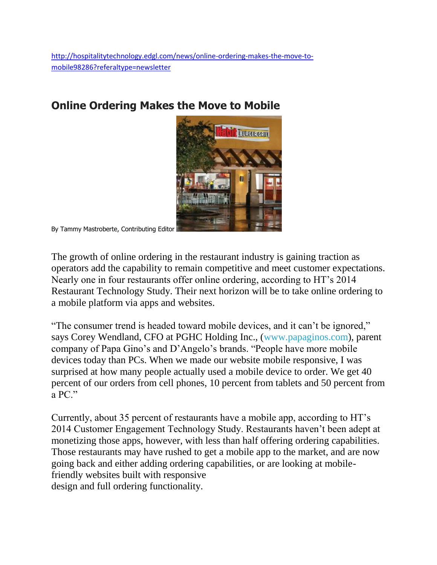## **Online Ordering Makes the Move to Mobile**



By Tammy Mastroberte, Contributing Editor

The growth of online ordering in the restaurant industry is gaining traction as operators add the capability to remain competitive and meet customer expectations. Nearly one in four restaurants offer online ordering, according to HT's 2014 Restaurant Technology Study. Their next horizon will be to take online ordering to a mobile platform via apps and websites.

"The consumer trend is headed toward mobile devices, and it can't be ignored," says Corey Wendland, CFO at PGHC Holding Inc., [\(www.papaginos.com\)](http://www.papaginos.com/), parent company of Papa Gino's and D'Angelo's brands. "People have more mobile devices today than PCs. When we made our website mobile responsive, I was surprised at how many people actually used a mobile device to order. We get 40 percent of our orders from cell phones, 10 percent from tablets and 50 percent from a PC."

Currently, about 35 percent of restaurants have a mobile app, according to HT's 2014 Customer Engagement Technology Study. Restaurants haven't been adept at monetizing those apps, however, with less than half offering ordering capabilities. Those restaurants may have rushed to get a mobile app to the market, and are now going back and either adding ordering capabilities, or are looking at mobilefriendly websites built with responsive design and full ordering functionality.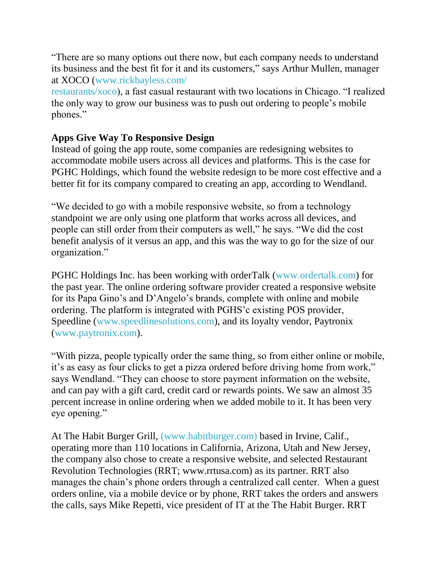"There are so many options out there now, but each company needs to understand its business and the best fit for it and its customers," says Arthur Mullen, manager at XOCO [\(www.rickbayless.com/](http://www.rickbayless.com/%20restaurants/xoco)

[restaurants/xoco\)](http://www.rickbayless.com/%20restaurants/xoco), a fast casual restaurant with two locations in Chicago. "I realized the only way to grow our business was to push out ordering to people's mobile phones."

## **Apps Give Way To Responsive Design**

Instead of going the app route, some companies are redesigning websites to accommodate mobile users across all devices and platforms. This is the case for PGHC Holdings, which found the website redesign to be more cost effective and a better fit for its company compared to creating an app, according to Wendland.

"We decided to go with a mobile responsive website, so from a technology standpoint we are only using one platform that works across all devices, and people can still order from their computers as well," he says. "We did the cost benefit analysis of it versus an app, and this was the way to go for the size of our organization."

PGHC Holdings Inc. has been working with orderTalk [\(www.ordertalk.com\)](http://www.ordertalk.com/) for the past year. The online ordering software provider created a responsive website for its Papa Gino's and D'Angelo's brands, complete with online and mobile ordering. The platform is integrated with PGHS'c existing POS provider, Speedline [\(www.speedlinesolutions.com\)](http://www.speedlinesolutions.com/), and its loyalty vendor, Paytronix [\(www.paytronix.com\)](http://www.paytronix.com/).

"With pizza, people typically order the same thing, so from either online or mobile, it's as easy as four clicks to get a pizza ordered before driving home from work," says Wendland. "They can choose to store payment information on the website, and can pay with a gift card, credit card or rewards points. We saw an almost 35 percent increase in online ordering when we added mobile to it. It has been very eye opening."

At The Habit Burger Grill, [\(www.habitburger.com\)](http://www.habitburger.com/) based in Irvine, Calif., operating more than 110 locations in California, Arizona, Utah and New Jersey, the company also chose to create a responsive website, and selected Restaurant Revolution Technologies (RRT; www.rrtusa.com) as its partner. RRT also manages the chain's phone orders through a centralized call center. When a guest orders online, via a mobile device or by phone, RRT takes the orders and answers the calls, says Mike Repetti, vice president of IT at the The Habit Burger. RRT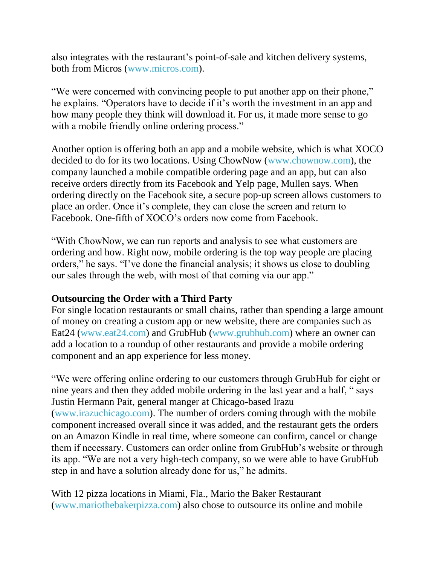also integrates with the restaurant's point-of-sale and kitchen delivery systems, both from Micros [\(www.micros.com\)](http://www.micros.com/).

"We were concerned with convincing people to put another app on their phone," he explains. "Operators have to decide if it's worth the investment in an app and how many people they think will download it. For us, it made more sense to go with a mobile friendly online ordering process."

Another option is offering both an app and a mobile website, which is what XOCO decided to do for its two locations. Using ChowNow [\(www.chownow.com\)](http://www.chownow.com/), the company launched a mobile compatible ordering page and an app, but can also receive orders directly from its Facebook and Yelp page, Mullen says. When ordering directly on the Facebook site, a secure pop-up screen allows customers to place an order. Once it's complete, they can close the screen and return to Facebook. One-fifth of XOCO's orders now come from Facebook.

"With ChowNow, we can run reports and analysis to see what customers are ordering and how. Right now, mobile ordering is the top way people are placing orders," he says. "I've done the financial analysis; it shows us close to doubling our sales through the web, with most of that coming via our app."

## **Outsourcing the Order with a Third Party**

For single location restaurants or small chains, rather than spending a large amount of money on creating a custom app or new website, there are companies such as Eat24 [\(www.eat24.com\)](http://www.eat24.com/) and GrubHub [\(www.grubhub.com\)](http://www.grubhub.com/) where an owner can add a location to a roundup of other restaurants and provide a mobile ordering component and an app experience for less money.

"We were offering online ordering to our customers through GrubHub for eight or nine years and then they added mobile ordering in the last year and a half, " says Justin Hermann Pait, general manger at Chicago-based Irazu [\(www.irazuchicago.com\)](http://www.irazuchicago.com/). The number of orders coming through with the mobile component increased overall since it was added, and the restaurant gets the orders on an Amazon Kindle in real time, where someone can confirm, cancel or change them if necessary. Customers can order online from GrubHub's website or through its app. "We are not a very high-tech company, so we were able to have GrubHub step in and have a solution already done for us," he admits.

With 12 pizza locations in Miami, Fla., Mario the Baker Restaurant [\(www.mariothebakerpizza.com\)](http://www.mariothebakerpizza.com/) also chose to outsource its online and mobile